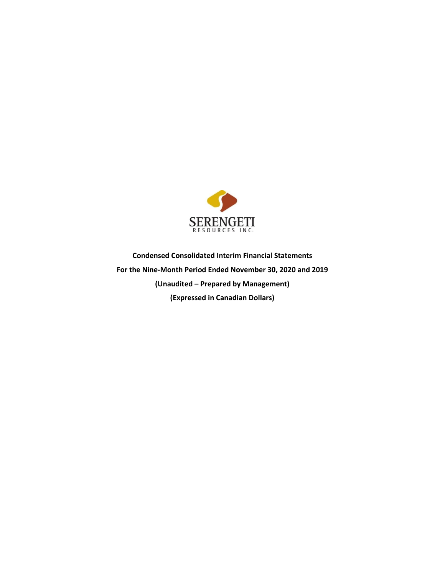

**Condensed Consolidated Interim Financial Statements For the Nine-Month Period Ended November 30, 2020 and 2019 (Unaudited – Prepared by Management) (Expressed in Canadian Dollars)**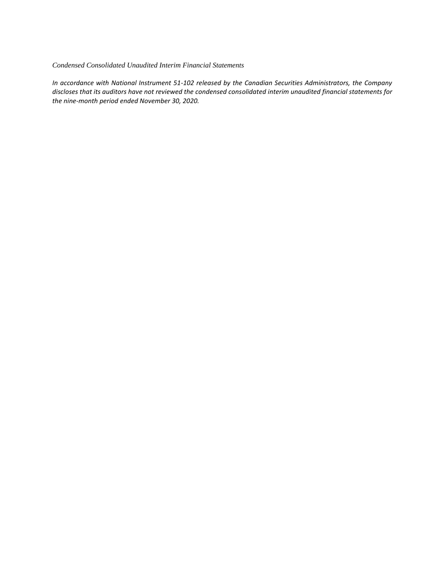#### *Condensed Consolidated Unaudited Interim Financial Statements*

*In accordance with National Instrument 51-102 released by the Canadian Securities Administrators, the Company discloses that its auditors have not reviewed the condensed consolidated interim unaudited financial statements for the nine-month period ended November 30, 2020.*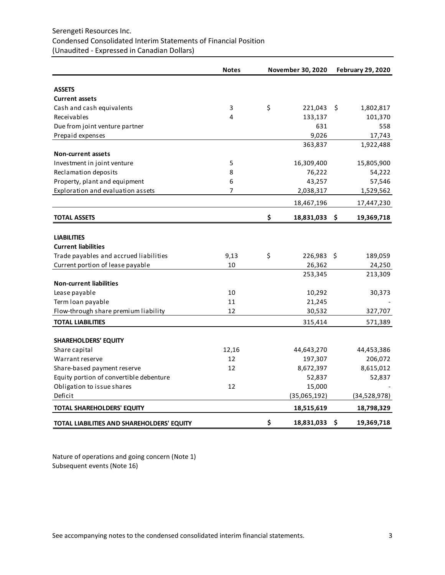# Serengeti Resources Inc. Condensed Consolidated Interim Statements of Financial Position (Unaudited - Expressed in Canadian Dollars)

|                                            | <b>Notes</b> | November 30, 2020 | <b>February 29, 2020</b> |              |  |
|--------------------------------------------|--------------|-------------------|--------------------------|--------------|--|
| <b>ASSETS</b>                              |              |                   |                          |              |  |
| <b>Current assets</b>                      |              |                   |                          |              |  |
| Cash and cash equivalents                  | 3            | \$<br>221,043     | \$                       | 1,802,817    |  |
| Receivables                                | 4            | 133,137           |                          | 101,370      |  |
| Due from joint venture partner             |              | 631               |                          | 558          |  |
| Prepaid expenses                           |              | 9,026             |                          | 17,743       |  |
|                                            |              | 363,837           |                          | 1,922,488    |  |
| <b>Non-current assets</b>                  |              |                   |                          |              |  |
| Investment in joint venture                | 5            | 16,309,400        |                          | 15,805,900   |  |
| Reclamation deposits                       | 8            | 76,222            |                          | 54,222       |  |
| Property, plant and equipment              | 6            | 43,257            |                          | 57,546       |  |
| Exploration and evaluation assets          | 7            | 2,038,317         |                          | 1,529,562    |  |
|                                            |              | 18,467,196        |                          | 17,447,230   |  |
| <b>TOTAL ASSETS</b>                        |              | \$<br>18,831,033  | -\$                      | 19,369,718   |  |
| <b>LIABILITIES</b>                         |              |                   |                          |              |  |
| <b>Current liabilities</b>                 |              |                   |                          |              |  |
| Trade payables and accrued liabilities     | 9,13         | \$<br>226,983 \$  |                          | 189,059      |  |
| Current portion of lease payable           | 10           | 26,362            |                          | 24,250       |  |
|                                            |              | 253,345           |                          | 213,309      |  |
| <b>Non-current liabilities</b>             |              |                   |                          |              |  |
| Lease payable                              | 10           | 10,292            |                          | 30,373       |  |
| Term loan payable                          | 11           | 21,245            |                          |              |  |
| Flow-through share premium liability       | 12           | 30,532            |                          | 327,707      |  |
| <b>TOTAL LIABILITIES</b>                   |              | 315,414           |                          | 571,389      |  |
| <b>SHAREHOLDERS' EQUITY</b>                |              |                   |                          |              |  |
| Share capital                              | 12,16        | 44,643,270        |                          | 44,453,386   |  |
| Warrant reserve                            | 12           | 197,307           |                          | 206,072      |  |
| Share-based payment reserve                | 12           | 8,672,397         |                          | 8,615,012    |  |
| Equity portion of convertible debenture    |              | 52,837            |                          | 52,837       |  |
| Obligation to issue shares                 | 12           | 15,000            |                          |              |  |
| Deficit                                    |              | (35,065,192)      |                          | (34,528,978) |  |
| <b>TOTAL SHAREHOLDERS' EQUITY</b>          |              | 18,515,619        |                          | 18,798,329   |  |
| TOTAL LIABILITIES AND SHAREHOLDERS' EQUITY |              | \$<br>18,831,033  | \$                       | 19,369,718   |  |

Nature of operations and going concern (Note 1) Subsequent events (Note 16)

See accompanying notes to the condensed consolidated interim financial statements. 3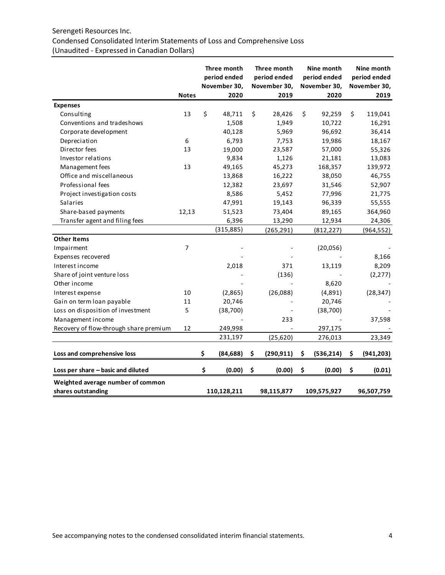# Serengeti Resources Inc.

# Condensed Consolidated Interim Statements of Loss and Comprehensive Loss (Unaudited - Expressed in Canadian Dollars)

|                                        |                  | Three month<br>period ended<br>November 30, | Three month<br>period ended<br>November 30, | Nine month<br>period ended<br>November 30, | Nine month<br>period ended<br>November 30, |
|----------------------------------------|------------------|---------------------------------------------|---------------------------------------------|--------------------------------------------|--------------------------------------------|
|                                        | <b>Notes</b>     | 2020                                        | 2019                                        | 2020                                       | 2019                                       |
| <b>Expenses</b>                        |                  |                                             |                                             |                                            |                                            |
| Consulting                             | 13               | \$<br>48,711                                | \$<br>28,426                                | \$<br>92,259                               | \$<br>119,041                              |
| Conventions and tradeshows             |                  | 1,508                                       | 1,949                                       | 10,722                                     | 16,291                                     |
| Corporate development                  |                  | 40,128                                      | 5,969                                       | 96,692                                     | 36,414                                     |
| Depreciation                           | $\boldsymbol{6}$ | 6,793                                       | 7,753                                       | 19,986                                     | 18,167                                     |
| Director fees                          | 13               | 19,000                                      | 23,587                                      | 57,000                                     | 55,326                                     |
| Investor relations                     |                  | 9,834                                       | 1,126                                       | 21,181                                     | 13,083                                     |
| Management fees                        | 13               | 49,165                                      | 45,273                                      | 168,357                                    | 139,972                                    |
| Office and miscellaneous               |                  | 13,868                                      | 16,222                                      | 38,050                                     | 46,755                                     |
| Professional fees                      |                  | 12,382                                      | 23,697                                      | 31,546                                     | 52,907                                     |
| Project investigation costs            |                  | 8,586                                       | 5,452                                       | 77,996                                     | 21,775                                     |
| <b>Salaries</b>                        |                  | 47,991                                      | 19,143                                      | 96,339                                     | 55,555                                     |
| Share-based payments                   | 12,13            | 51,523                                      | 73,404                                      | 89,165                                     | 364,960                                    |
| Transfer agent and filing fees         |                  | 6,396                                       | 13,290                                      | 12,934                                     | 24,306                                     |
|                                        |                  | (315, 885)                                  | (265, 291)                                  | (812, 227)                                 | (964, 552)                                 |
| <b>Other Items</b>                     |                  |                                             |                                             |                                            |                                            |
| Impairment                             | $\overline{7}$   |                                             |                                             | (20,056)                                   |                                            |
| Expenses recovered                     |                  |                                             |                                             |                                            | 8,166                                      |
| Interest income                        |                  | 2,018                                       | 371                                         | 13,119                                     | 8,209                                      |
| Share of joint venture loss            |                  |                                             | (136)                                       |                                            | (2, 277)                                   |
| Other income                           |                  |                                             |                                             | 8,620                                      |                                            |
| Interest expense                       | 10               | (2,865)                                     | (26,088)                                    | (4,891)                                    | (28, 347)                                  |
| Gain on term loan payable              | 11               | 20,746                                      |                                             | 20,746                                     |                                            |
| Loss on disposition of investment      | 5                | (38, 700)                                   |                                             | (38, 700)                                  |                                            |
| Management income                      |                  |                                             | 233                                         |                                            | 37,598                                     |
| Recovery of flow-through share premium | 12               | 249,998                                     |                                             | 297,175                                    |                                            |
|                                        |                  | 231,197                                     | (25, 620)                                   | 276,013                                    | 23,349                                     |
| Loss and comprehensive loss            |                  | \$<br>(84, 688)                             | \$<br>(290, 911)                            | \$<br>(536, 214)                           | \$<br>(941, 203)                           |
| Loss per share - basic and diluted     |                  | \$<br>(0.00)                                | \$<br>(0.00)                                | \$<br>(0.00)                               | \$<br>(0.01)                               |
| Weighted average number of common      |                  |                                             |                                             |                                            |                                            |
| shares outstanding                     |                  | 110,128,211                                 | 98,115,877                                  | 109,575,927                                | 96,507,759                                 |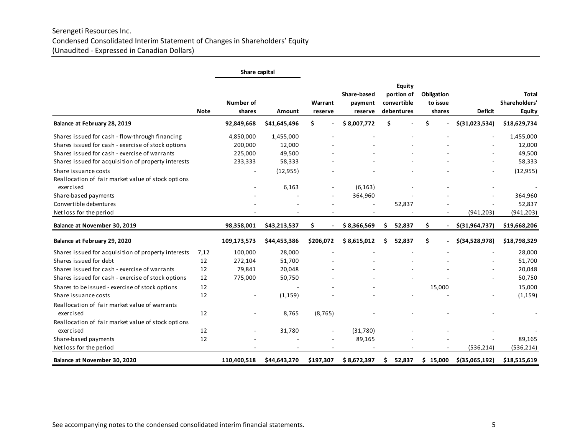# Serengeti Resources Inc. Condensed Consolidated Interim Statement of Changes in Shareholders' Equity (Unaudited - Expressed in Canadian Dollars)

|                                                                 |             | Share capital       |              |                    |                                   |                                                   |                                  |                  |                                         |
|-----------------------------------------------------------------|-------------|---------------------|--------------|--------------------|-----------------------------------|---------------------------------------------------|----------------------------------|------------------|-----------------------------------------|
|                                                                 | <b>Note</b> | Number of<br>shares | Amount       | Warrant<br>reserve | Share-based<br>payment<br>reserve | Equity<br>portion of<br>convertible<br>debentures | Obligation<br>to issue<br>shares | <b>Deficit</b>   | Total<br>Shareholders'<br><b>Equity</b> |
| Balance at February 28, 2019                                    |             | 92,849,668          | \$41,645,496 | Ś.                 | \$8,007,772                       | \$                                                | Ś.                               | \$(31,023,534)   | \$18,629,734                            |
| Shares issued for cash - flow-through financing                 |             | 4,850,000           | 1,455,000    |                    |                                   |                                                   |                                  |                  | 1,455,000                               |
| Shares issued for cash - exercise of stock options              |             | 200,000             | 12,000       |                    |                                   |                                                   |                                  |                  | 12,000                                  |
| Shares issued for cash - exercise of warrants                   |             | 225,000             | 49,500       |                    |                                   |                                                   |                                  |                  | 49,500                                  |
| Shares issued for acquisition of property interests             |             | 233,333             | 58,333       |                    |                                   |                                                   |                                  |                  | 58,333                                  |
| Share issuance costs                                            |             |                     | (12, 955)    |                    |                                   |                                                   |                                  |                  | (12, 955)                               |
| Reallocation of fair market value of stock options              |             |                     |              |                    |                                   |                                                   |                                  |                  |                                         |
| exercised                                                       |             |                     | 6,163        |                    | (6, 163)                          |                                                   |                                  |                  |                                         |
| Share-based payments                                            |             |                     |              |                    | 364,960                           |                                                   |                                  |                  | 364,960                                 |
| Convertible debentures                                          |             |                     |              |                    |                                   | 52,837                                            |                                  |                  | 52,837                                  |
| Net loss for the period                                         |             |                     |              |                    |                                   |                                                   |                                  | (941, 203)       | (941, 203)                              |
| Balance at November 30, 2019                                    |             | 98,358,001          | \$43,213,537 | Ś.                 | \$8,366,569                       | 52,837<br>S.                                      | \$                               | \$(31, 964, 737) | \$19,668,206                            |
| Balance at February 29, 2020                                    |             | 109,173,573         | \$44,453,386 | \$206,072          | \$8,615,012                       | 52,837<br>Ś                                       | \$                               | \$(34,528,978)   | \$18,798,329                            |
| Shares issued for acquisition of property interests             | 7.12        | 100,000             | 28,000       |                    |                                   |                                                   |                                  |                  | 28,000                                  |
| Shares issued for debt                                          | 12          | 272,104             | 51,700       |                    |                                   |                                                   |                                  |                  | 51,700                                  |
| Shares issued for cash - exercise of warrants                   | 12          | 79,841              | 20,048       |                    |                                   |                                                   |                                  |                  | 20,048                                  |
| Shares issued for cash - exercise of stock options              | 12          | 775,000             | 50,750       |                    |                                   |                                                   |                                  |                  | 50,750                                  |
| Shares to be issued - exercise of stock options                 | 12          |                     |              |                    |                                   |                                                   | 15,000                           |                  | 15,000                                  |
| Share issuance costs                                            | 12          |                     | (1, 159)     |                    |                                   |                                                   |                                  |                  | (1, 159)                                |
| Reallocation of fair market value of warrants<br>exercised      | 12          |                     | 8,765        | (8, 765)           |                                   |                                                   |                                  |                  |                                         |
|                                                                 |             |                     |              |                    |                                   |                                                   |                                  |                  |                                         |
| Reallocation of fair market value of stock options<br>exercised | 12          |                     |              |                    |                                   |                                                   |                                  |                  |                                         |
| Share-based payments                                            | 12          |                     | 31,780       |                    | (31,780)<br>89,165                |                                                   |                                  |                  | 89,165                                  |
|                                                                 |             |                     |              |                    |                                   |                                                   |                                  | (536, 214)       | (536, 214)                              |
| Net loss for the period                                         |             |                     |              |                    |                                   |                                                   |                                  |                  |                                         |
| Balance at November 30, 2020                                    |             | 110,400,518         | \$44,643,270 | \$197,307          | \$8,672,397                       | \$<br>52,837                                      | \$15,000                         | $$$ (35,065,192) | \$18,515,619                            |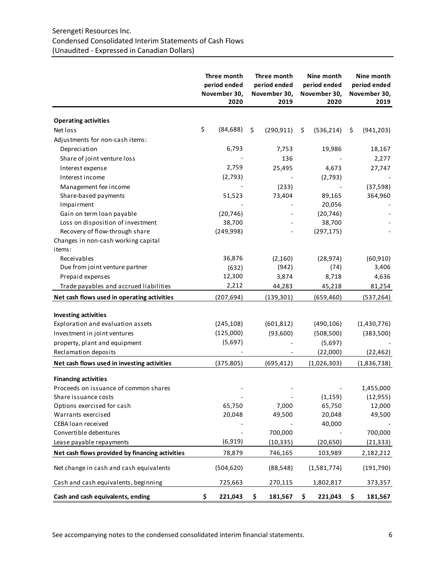# Serengeti Resources Inc. Condensed Consolidated Interim Statements of Cash Flows (Unaudited - Expressed in Canadian Dollars)

|                                                 | Three month<br>period ended<br>November 30,<br>2020 |    | Three month<br>period ended<br>November 30,<br>2019 |    | Nine month<br>period ended<br>November 30,<br>2020 | Nine month<br>period ended<br>November 30,<br>2019 |
|-------------------------------------------------|-----------------------------------------------------|----|-----------------------------------------------------|----|----------------------------------------------------|----------------------------------------------------|
| <b>Operating activities</b>                     |                                                     |    |                                                     |    |                                                    |                                                    |
| Net loss                                        | \$<br>(84, 688)                                     | Ś. | (290, 911)                                          | \$ | (536, 214)                                         | \$<br>(941, 203)                                   |
| Adjustments for non-cash items:                 |                                                     |    |                                                     |    |                                                    |                                                    |
| Depreciation                                    | 6,793                                               |    | 7,753                                               |    | 19,986                                             | 18,167                                             |
| Share of joint venture loss                     |                                                     |    | 136                                                 |    |                                                    | 2,277                                              |
| Interest expense                                | 2,759                                               |    | 25,495                                              |    | 4,673                                              | 27,747                                             |
| Interest income                                 | (2,793)                                             |    |                                                     |    | (2,793)                                            |                                                    |
| Management fee income                           |                                                     |    | (233)                                               |    |                                                    | (37, 598)                                          |
| Share-based payments                            | 51,523                                              |    | 73,404                                              |    | 89,165                                             | 364,960                                            |
| Impairment                                      |                                                     |    |                                                     |    | 20,056                                             |                                                    |
| Gain on term loan payable                       | (20, 746)                                           |    |                                                     |    | (20, 746)                                          |                                                    |
| Loss on disposition of investment               | 38,700                                              |    |                                                     |    | 38,700                                             |                                                    |
| Recovery of flow-through share                  | (249,998)                                           |    |                                                     |    | (297, 175)                                         |                                                    |
| Changes in non-cash working capital             |                                                     |    |                                                     |    |                                                    |                                                    |
| items:                                          |                                                     |    |                                                     |    |                                                    |                                                    |
| Receivables                                     | 36,876                                              |    | (2, 160)                                            |    | (28, 974)                                          | (60, 910)                                          |
| Due from joint venture partner                  | (632)                                               |    | (942)                                               |    | (74)                                               | 3,406                                              |
| Prepaid expenses                                | 12,300                                              |    | 3,874                                               |    | 8,718                                              | 4,636                                              |
| Trade payables and accrued liabilities          | 2,212                                               |    | 44,283                                              |    | 45,218                                             | 81,254                                             |
| Net cash flows used in operating activities     | (207, 694)                                          |    | (139, 301)                                          |    | (659, 460)                                         | (537, 264)                                         |
| <b>Investing activities</b>                     |                                                     |    |                                                     |    |                                                    |                                                    |
| Exploration and evaluation assets               | (245, 108)                                          |    | (601, 812)                                          |    | (490, 106)                                         | (1,430,776)                                        |
| Investment in joint ventures                    | (125,000)                                           |    | (93,600)                                            |    | (508, 500)                                         | (383,500)                                          |
| property, plant and equipment                   | (5,697)                                             |    |                                                     |    | (5,697)                                            |                                                    |
| Reclamation deposits                            |                                                     |    |                                                     |    | (22,000)                                           | (22, 462)                                          |
|                                                 |                                                     |    |                                                     |    |                                                    |                                                    |
| Net cash flows used in investing activities     | (375, 805)                                          |    | (695, 412)                                          |    | (1,026,303)                                        | (1,836,738)                                        |
| <b>Financing activities</b>                     |                                                     |    |                                                     |    |                                                    |                                                    |
| Proceeds on issuance of common shares           |                                                     |    |                                                     |    |                                                    | 1,455,000                                          |
| Share issuance costs                            |                                                     |    |                                                     |    | (1, 159)                                           | (12, 955)                                          |
| Options exercised for cash                      | 65,750                                              |    | 7,000                                               |    | 65,750                                             | 12,000                                             |
| Warrants exercised                              | 20,048                                              |    | 49,500                                              |    | 20,048                                             | 49,500                                             |
| CEBA loan received                              |                                                     |    |                                                     |    | 40,000                                             |                                                    |
| Convertible debentures                          |                                                     |    | 700,000                                             |    |                                                    | 700,000                                            |
| Lease payable repayments                        | (6, 919)                                            |    | (10, 335)                                           |    | (20, 650)                                          | (21, 333)                                          |
| Net cash flows provided by financing activities | 78,879                                              |    | 746,165                                             |    | 103,989                                            | 2,182,212                                          |
| Net change in cash and cash equivalents         | (504, 620)                                          |    | (88, 548)                                           |    | (1,581,774)                                        | (191, 790)                                         |
| Cash and cash equivalents, beginning            | 725,663                                             |    | 270,115                                             |    | 1,802,817                                          | 373,357                                            |
| Cash and cash equivalents, ending               | \$<br>221,043                                       | \$ | 181,567                                             | \$ | 221,043                                            | \$<br>181,567                                      |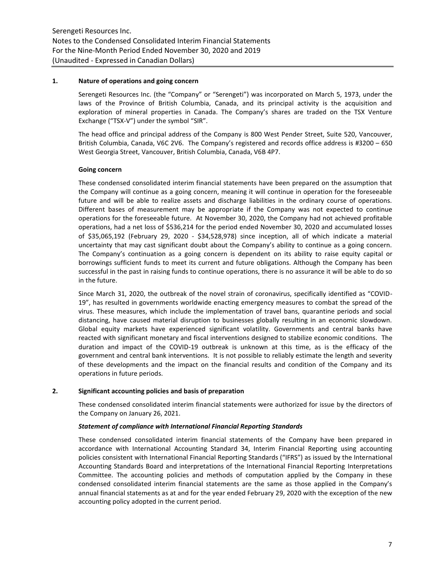#### **1. Nature of operations and going concern**

Serengeti Resources Inc. (the "Company" or "Serengeti") was incorporated on March 5, 1973, under the laws of the Province of British Columbia, Canada, and its principal activity is the acquisition and exploration of mineral properties in Canada. The Company's shares are traded on the TSX Venture Exchange ("TSX-V") under the symbol "SIR".

The head office and principal address of the Company is 800 West Pender Street, Suite 520, Vancouver, British Columbia, Canada, V6C 2V6. The Company's registered and records office address is #3200 – 650 West Georgia Street, Vancouver, British Columbia, Canada, V6B 4P7.

## **Going concern**

These condensed consolidated interim financial statements have been prepared on the assumption that the Company will continue as a going concern, meaning it will continue in operation for the foreseeable future and will be able to realize assets and discharge liabilities in the ordinary course of operations. Different bases of measurement may be appropriate if the Company was not expected to continue operations for the foreseeable future. At November 30, 2020, the Company had not achieved profitable operations, had a net loss of \$536,214 for the period ended November 30, 2020 and accumulated losses of \$35,065,192 (February 29, 2020 - \$34,528,978) since inception, all of which indicate a material uncertainty that may cast significant doubt about the Company's ability to continue as a going concern. The Company's continuation as a going concern is dependent on its ability to raise equity capital or borrowings sufficient funds to meet its current and future obligations. Although the Company has been successful in the past in raising funds to continue operations, there is no assurance it will be able to do so in the future.

Since March 31, 2020, the outbreak of the novel strain of coronavirus, specifically identified as "COVID-19", has resulted in governments worldwide enacting emergency measures to combat the spread of the virus. These measures, which include the implementation of travel bans, quarantine periods and social distancing, have caused material disruption to businesses globally resulting in an economic slowdown. Global equity markets have experienced significant volatility. Governments and central banks have reacted with significant monetary and fiscal interventions designed to stabilize economic conditions. The duration and impact of the COVID-19 outbreak is unknown at this time, as is the efficacy of the government and central bank interventions. It is not possible to reliably estimate the length and severity of these developments and the impact on the financial results and condition of the Company and its operations in future periods.

# **2. Significant accounting policies and basis of preparation**

These condensed consolidated interim financial statements were authorized for issue by the directors of the Company on January 26, 2021.

#### *Statement of compliance with International Financial Reporting Standards*

These condensed consolidated interim financial statements of the Company have been prepared in accordance with International Accounting Standard 34, Interim Financial Reporting using accounting policies consistent with International Financial Reporting Standards ("IFRS") as issued by the International Accounting Standards Board and interpretations of the International Financial Reporting Interpretations Committee. The accounting policies and methods of computation applied by the Company in these condensed consolidated interim financial statements are the same as those applied in the Company's annual financial statements as at and for the year ended February 29, 2020 with the exception of the new accounting policy adopted in the current period.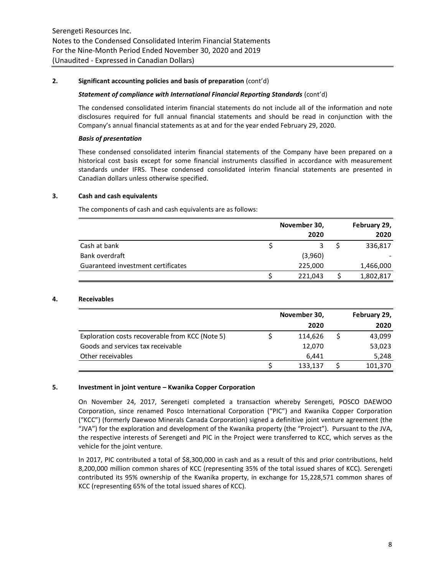## **2. Significant accounting policies and basis of preparation** (cont'd)

#### *Statement of compliance with International Financial Reporting Standards* (cont'd)

The condensed consolidated interim financial statements do not include all of the information and note disclosures required for full annual financial statements and should be read in conjunction with the Company's annual financial statements as at and for the year ended February 29, 2020.

## *Basis of presentation*

These condensed consolidated interim financial statements of the Company have been prepared on a historical cost basis except for some financial instruments classified in accordance with measurement standards under IFRS. These condensed consolidated interim financial statements are presented in Canadian dollars unless otherwise specified.

# **3. Cash and cash equivalents**

The components of cash and cash equivalents are as follows:

|                                    | November 30, | February 29, |
|------------------------------------|--------------|--------------|
|                                    | 2020         | 2020         |
| Cash at bank                       |              | 336,817      |
| Bank overdraft                     | (3,960)      |              |
| Guaranteed investment certificates | 225,000      | 1,466,000    |
|                                    | 221,043      | 1,802,817    |

## **4. Receivables**

|                                                 | November 30, | February 29, |         |  |
|-------------------------------------------------|--------------|--------------|---------|--|
|                                                 | 2020         |              | 2020    |  |
| Exploration costs recoverable from KCC (Note 5) | 114,626      |              | 43,099  |  |
| Goods and services tax receivable               | 12,070       |              | 53,023  |  |
| Other receivables                               | 6.441        |              | 5,248   |  |
|                                                 | 133,137      |              | 101,370 |  |

#### **5. Investment in joint venture – Kwanika Copper Corporation**

On November 24, 2017, Serengeti completed a transaction whereby Serengeti, POSCO DAEWOO Corporation, since renamed Posco International Corporation ("PIC") and Kwanika Copper Corporation ("KCC") (formerly Daewoo Minerals Canada Corporation) signed a definitive joint venture agreement (the "JVA") for the exploration and development of the Kwanika property (the "Project"). Pursuant to the JVA, the respective interests of Serengeti and PIC in the Project were transferred to KCC, which serves as the vehicle for the joint venture.

In 2017, PIC contributed a total of \$8,300,000 in cash and as a result of this and prior contributions, held 8,200,000 million common shares of KCC (representing 35% of the total issued shares of KCC). Serengeti contributed its 95% ownership of the Kwanika property, in exchange for 15,228,571 common shares of KCC (representing 65% of the total issued shares of KCC).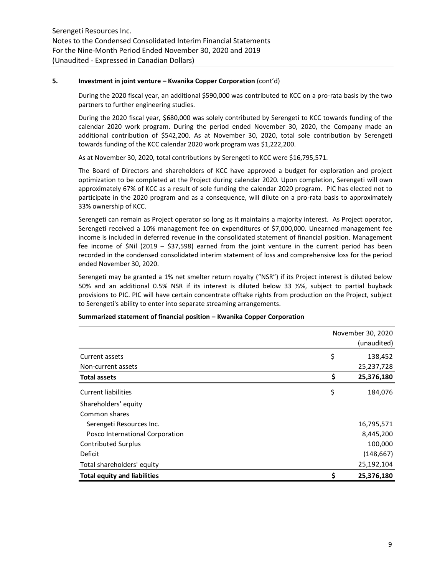## **5. Investment in joint venture – Kwanika Copper Corporation** (cont'd)

During the 2020 fiscal year, an additional \$590,000 was contributed to KCC on a pro-rata basis by the two partners to further engineering studies.

During the 2020 fiscal year, \$680,000 was solely contributed by Serengeti to KCC towards funding of the calendar 2020 work program. During the period ended November 30, 2020, the Company made an additional contribution of \$542,200. As at November 30, 2020, total sole contribution by Serengeti towards funding of the KCC calendar 2020 work program was \$1,222,200.

As at November 30, 2020, total contributions by Serengeti to KCC were \$16,795,571.

The Board of Directors and shareholders of KCC have approved a budget for exploration and project optimization to be completed at the Project during calendar 2020. Upon completion, Serengeti will own approximately 67% of KCC as a result of sole funding the calendar 2020 program. PIC has elected not to participate in the 2020 program and as a consequence, will dilute on a pro-rata basis to approximately 33% ownership of KCC.

Serengeti can remain as Project operator so long as it maintains a majority interest. As Project operator, Serengeti received a 10% management fee on expenditures of \$7,000,000. Unearned management fee income is included in deferred revenue in the consolidated statement of financial position. Management fee income of \$Nil (2019 – \$37,598) earned from the joint venture in the current period has been recorded in the condensed consolidated interim statement of loss and comprehensive loss for the period ended November 30, 2020.

Serengeti may be granted a 1% net smelter return royalty ("NSR") if its Project interest is diluted below 50% and an additional 0.5% NSR if its interest is diluted below 33 ⅓%, subject to partial buyback provisions to PIC. PIC will have certain concentrate offtake rights from production on the Project, subject to Serengeti's ability to enter into separate streaming arrangements.

|                                     | November 30, 2020<br>(unaudited) |
|-------------------------------------|----------------------------------|
| Current assets                      | \$<br>138,452                    |
| Non-current assets                  | 25,237,728                       |
| <b>Total assets</b>                 | \$<br>25,376,180                 |
| <b>Current liabilities</b>          | \$<br>184,076                    |
| Shareholders' equity                |                                  |
| Common shares                       |                                  |
| Serengeti Resources Inc.            | 16,795,571                       |
| Posco International Corporation     | 8,445,200                        |
| <b>Contributed Surplus</b>          | 100,000                          |
| Deficit                             | (148, 667)                       |
| Total shareholders' equity          | 25,192,104                       |
| <b>Total equity and liabilities</b> | \$<br>25,376,180                 |

#### **Summarized statement of financial position – Kwanika Copper Corporation**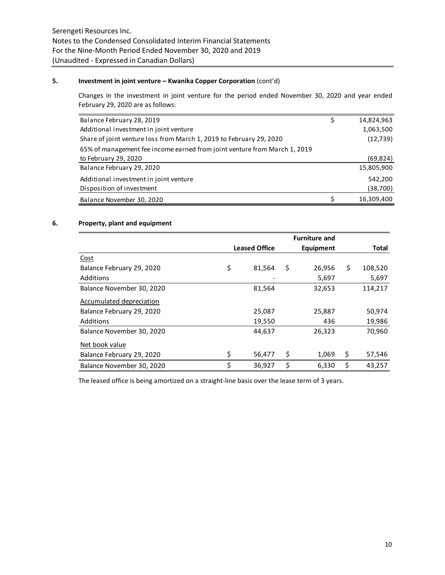# **5. Investment in joint venture – Kwanika Copper Corporation** (cont'd)

Changes in the investment in joint venture for the period ended November 30, 2020 and year ended February 29, 2020 are as follows:

| Balance February 28, 2019                                                 | Ş | 14,824,963 |
|---------------------------------------------------------------------------|---|------------|
| Additional investment in joint venture                                    |   | 1,063,500  |
| Share of joint venture loss from March 1, 2019 to February 29, 2020       |   | (12, 739)  |
| 65% of management fee income earned from joint venture from March 1, 2019 |   |            |
| to February 29, 2020                                                      |   | (69,824)   |
| Balance February 29, 2020                                                 |   | 15,805,900 |
| Additional investment in joint venture                                    |   | 542,200    |
| Disposition of investment                                                 |   | (38,700)   |
| Balance November 30, 2020                                                 |   | 16,309,400 |

# **6. Property, plant and equipment**

|                           |                      | <b>Furniture and</b> |               |
|---------------------------|----------------------|----------------------|---------------|
|                           | <b>Leased Office</b> | Equipment            | <b>Total</b>  |
| <u>Cost</u>               |                      |                      |               |
| Balance February 29, 2020 | \$<br>81,564         | \$<br>26,956         | \$<br>108,520 |
| Additions                 |                      | 5,697                | 5,697         |
| Balance November 30, 2020 | 81,564               | 32,653               | 114,217       |
| Accumulated depreciation  |                      |                      |               |
| Balance February 29, 2020 | 25,087               | 25,887               | 50,974        |
| Additions                 | 19,550               | 436                  | 19,986        |
| Balance November 30, 2020 | 44,637               | 26,323               | 70,960        |
| Net book value            |                      |                      |               |
| Balance February 29, 2020 | \$<br>56,477         | \$<br>1,069          | \$<br>57,546  |
| Balance November 30, 2020 | \$<br>36,927         | \$<br>6,330          | \$<br>43.257  |

The leased office is being amortized on a straight-line basis over the lease term of 3 years.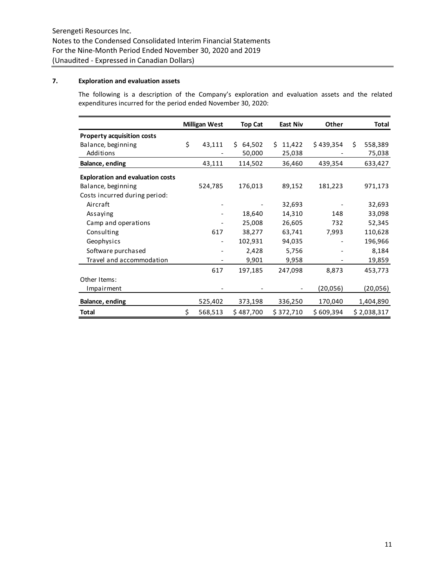# **7. Exploration and evaluation assets**

The following is a description of the Company's exploration and evaluation assets and the related expenditures incurred for the period ended November 30, 2020:

|                                         | <b>Milligan West</b> |                          | <b>Top Cat</b> | East Niv     | Other     |    | Total       |  |
|-----------------------------------------|----------------------|--------------------------|----------------|--------------|-----------|----|-------------|--|
| <b>Property acquisition costs</b>       |                      |                          |                |              |           |    |             |  |
| Balance, beginning                      | \$                   | 43,111                   | 64,502<br>S.   | 11,422<br>Ŝ. | \$439,354 | \$ | 558,389     |  |
| Additions                               |                      |                          | 50,000         | 25,038       |           |    | 75,038      |  |
| Balance, ending                         |                      | 43,111                   | 114,502        | 36,460       | 439,354   |    | 633,427     |  |
| <b>Exploration and evaluation costs</b> |                      |                          |                |              |           |    |             |  |
| Balance, beginning                      |                      | 524,785                  | 176,013        | 89,152       | 181,223   |    | 971,173     |  |
| Costs incurred during period:           |                      |                          |                |              |           |    |             |  |
| Aircraft                                |                      |                          |                | 32,693       |           |    | 32,693      |  |
| Assaying                                |                      |                          | 18,640         | 14,310       | 148       |    | 33,098      |  |
| Camp and operations                     |                      |                          | 25,008         | 26,605       | 732       |    | 52,345      |  |
| Consulting                              |                      | 617                      | 38,277         | 63,741       | 7,993     |    | 110,628     |  |
| Geophysics                              |                      | $\overline{\phantom{a}}$ | 102,931        | 94,035       |           |    | 196,966     |  |
| Software purchased                      |                      |                          | 2,428          | 5,756        |           |    | 8,184       |  |
| Travel and accommodation                |                      |                          | 9,901          | 9,958        |           |    | 19,859      |  |
|                                         |                      | 617                      | 197,185        | 247,098      | 8,873     |    | 453,773     |  |
| Other Items:                            |                      |                          |                |              |           |    |             |  |
| Impairment                              |                      |                          |                |              | (20,056)  |    | (20,056)    |  |
| Balance, ending                         |                      | 525,402                  | 373,198        | 336,250      | 170,040   |    | 1,404,890   |  |
| <b>Total</b>                            | \$                   | 568,513                  | \$487,700      | \$372,710    | \$609,394 |    | \$2,038,317 |  |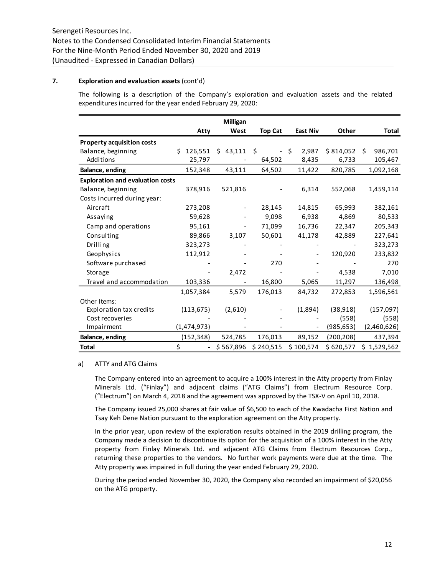## **7. Exploration and evaluation assets** (cont'd)

The following is a description of the Company's exploration and evaluation assets and the related expenditures incurred for the year ended February 29, 2020:

|                                         |                                | Milligan  |                                |                 |            |               |
|-----------------------------------------|--------------------------------|-----------|--------------------------------|-----------------|------------|---------------|
|                                         | Atty                           | West      | <b>Top Cat</b>                 | <b>East Niv</b> | Other      | Total         |
| <b>Property acquisition costs</b>       |                                |           |                                |                 |            |               |
| Balance, beginning                      | \$126,551                      | \$43,111  | Ŝ.<br>$\overline{\phantom{a}}$ | 2,987<br>Ŝ.     | \$814,052  | 986,701<br>Ŝ. |
| Additions                               | 25,797                         |           | 64,502                         | 8,435           | 6,733      | 105,467       |
| Balance, ending                         | 152,348                        | 43,111    | 64,502                         | 11,422          | 820,785    | 1,092,168     |
| <b>Exploration and evaluation costs</b> |                                |           |                                |                 |            |               |
| Balance, beginning                      | 378,916                        | 521,816   |                                | 6,314           | 552,068    | 1,459,114     |
| Costs incurred during year:             |                                |           |                                |                 |            |               |
| Aircraft                                | 273,208                        |           | 28,145                         | 14,815          | 65,993     | 382,161       |
| Assaying                                | 59,628                         |           | 9,098                          | 6,938           | 4,869      | 80,533        |
| Camp and operations                     | 95,161                         |           | 71,099                         | 16,736          | 22,347     | 205,343       |
| Consulting                              | 89,866                         | 3,107     | 50,601                         | 41,178          | 42,889     | 227,641       |
| Drilling                                | 323,273                        |           |                                |                 |            | 323,273       |
| Geophysics                              | 112,912                        |           |                                |                 | 120,920    | 233,832       |
| Software purchased                      |                                |           | 270                            |                 |            | 270           |
| Storage                                 |                                | 2,472     |                                |                 | 4,538      | 7,010         |
| Travel and accommodation                | 103,336                        |           | 16,800                         | 5,065           | 11,297     | 136,498       |
|                                         | 1,057,384                      | 5,579     | 176,013                        | 84,732          | 272,853    | 1,596,561     |
| Other Items:                            |                                |           |                                |                 |            |               |
| <b>Exploration tax credits</b>          | (113, 675)                     | (2,610)   |                                | (1,894)         | (38, 918)  | (157, 097)    |
| Cost recoveries                         |                                |           |                                |                 | (558)      | (558)         |
| Impairment                              | (1,474,973)                    |           |                                |                 | (985, 653) | (2,460,626)   |
| Balance, ending                         | (152, 348)                     | 524,785   | 176,013                        | 89,152          | (200, 208) | 437,394       |
| Total                                   | \$<br>$\overline{\phantom{a}}$ | \$567,896 | \$240,515                      | \$100,574       | \$620,577  | \$1,529,562   |

#### a) ATTY and ATG Claims

The Company entered into an agreement to acquire a 100% interest in the Atty property from Finlay Minerals Ltd. ("Finlay") and adjacent claims ("ATG Claims") from Electrum Resource Corp. ("Electrum") on March 4, 2018 and the agreement was approved by the TSX-V on April 10, 2018.

The Company issued 25,000 shares at fair value of \$6,500 to each of the Kwadacha First Nation and Tsay Keh Dene Nation pursuant to the exploration agreement on the Atty property.

In the prior year, upon review of the exploration results obtained in the 2019 drilling program, the Company made a decision to discontinue its option for the acquisition of a 100% interest in the Atty property from Finlay Minerals Ltd. and adjacent ATG Claims from Electrum Resources Corp., returning these properties to the vendors. No further work payments were due at the time. The Atty property was impaired in full during the year ended February 29, 2020.

During the period ended November 30, 2020, the Company also recorded an impairment of \$20,056 on the ATG property.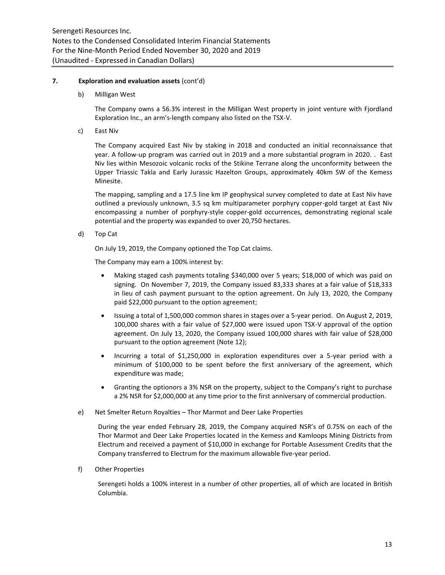## **7. Exploration and evaluation assets** (cont'd)

b) Milligan West

The Company owns a 56.3% interest in the Milligan West property in joint venture with Fjordland Exploration Inc., an arm's-length company also listed on the TSX-V.

c) East Niv

The Company acquired East Niv by staking in 2018 and conducted an initial reconnaissance that year. A follow-up program was carried out in 2019 and a more substantial program in 2020. . East Niv lies within Mesozoic volcanic rocks of the Stikine Terrane along the unconformity between the Upper Triassic Takla and Early Jurassic Hazelton Groups, approximately 40km SW of the Kemess Minesite.

The mapping, sampling and a 17.5 line km IP geophysical survey completed to date at East Niv have outlined a previously unknown, 3.5 sq km multiparameter porphyry copper-gold target at East Niv encompassing a number of porphyry-style copper-gold occurrences, demonstrating regional scale potential and the property was expanded to over 20,750 hectares.

d) Top Cat

On July 19, 2019, the Company optioned the Top Cat claims.

The Company may earn a 100% interest by:

- Making staged cash payments totaling \$340,000 over 5 years; \$18,000 of which was paid on signing. On November 7, 2019, the Company issued 83,333 shares at a fair value of \$18,333 in lieu of cash payment pursuant to the option agreement. On July 13, 2020, the Company paid \$22,000 pursuant to the option agreement;
- Issuing a total of 1,500,000 common shares in stages over a 5-year period. On August 2, 2019, 100,000 shares with a fair value of \$27,000 were issued upon TSX-V approval of the option agreement. On July 13, 2020, the Company issued 100,000 shares with fair value of \$28,000 pursuant to the option agreement (Note 12);
- Incurring a total of \$1,250,000 in exploration expenditures over a 5-year period with a minimum of \$100,000 to be spent before the first anniversary of the agreement, which expenditure was made;
- Granting the optionors a 3% NSR on the property, subject to the Company's right to purchase a 2% NSR for \$2,000,000 at any time prior to the first anniversary of commercial production.
- e) Net Smelter Return Royalties Thor Marmot and Deer Lake Properties

During the year ended February 28, 2019, the Company acquired NSR's of 0.75% on each of the Thor Marmot and Deer Lake Properties located in the Kemess and Kamloops Mining Districts from Electrum and received a payment of \$10,000 in exchange for Portable Assessment Credits that the Company transferred to Electrum for the maximum allowable five-year period.

f) Other Properties

Serengeti holds a 100% interest in a number of other properties, all of which are located in British Columbia.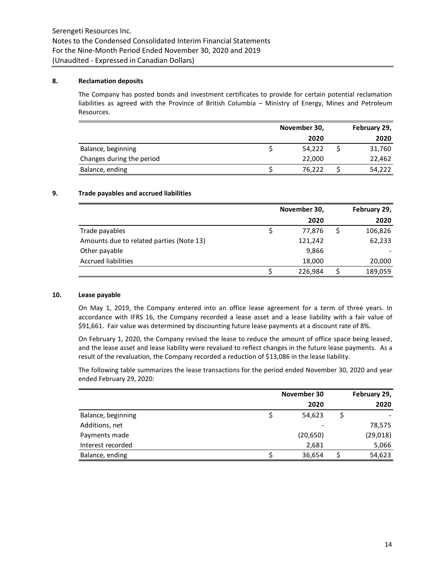## **8. Reclamation deposits**

The Company has posted bonds and investment certificates to provide for certain potential reclamation liabilities as agreed with the Province of British Columbia – Ministry of Energy, Mines and Petroleum Resources.

|                           | November 30, | February 29, |        |  |
|---------------------------|--------------|--------------|--------|--|
|                           | 2020         |              | 2020   |  |
| Balance, beginning        | 54,222       |              | 31,760 |  |
| Changes during the period | 22,000       |              | 22,462 |  |
| Balance, ending           | 76.222       |              | 54,222 |  |
|                           |              |              |        |  |

## **9. Trade payables and accrued liabilities**

|                                          | November 30, | February 29, |  |  |
|------------------------------------------|--------------|--------------|--|--|
|                                          | 2020         | 2020         |  |  |
| Trade payables                           | 77,876       | 106,826      |  |  |
| Amounts due to related parties (Note 13) | 121,242      | 62,233       |  |  |
| Other payable                            | 9,866        |              |  |  |
| <b>Accrued liabilities</b>               | 18,000       | 20,000       |  |  |
|                                          | 226,984      | 189,059      |  |  |

## **10. Lease payable**

On May 1, 2019, the Company entered into an office lease agreement for a term of three years. In accordance with IFRS 16, the Company recorded a lease asset and a lease liability with a fair value of \$91,661. Fair value was determined by discounting future lease payments at a discount rate of 8%.

On February 1, 2020, the Company revised the lease to reduce the amount of office space being leased, and the lease asset and lease liability were revalued to reflect changes in the future lease payments. As a result of the revaluation, the Company recorded a reduction of \$13,086 in the lease liability.

The following table summarizes the lease transactions for the period ended November 30, 2020 and year ended February 29, 2020:

|                    | November 30 | February 29, |
|--------------------|-------------|--------------|
|                    | 2020        | 2020         |
| Balance, beginning | 54,623      |              |
| Additions, net     |             | 78,575       |
| Payments made      | (20, 650)   | (29, 018)    |
| Interest recorded  | 2,681       | 5,066        |
| Balance, ending    | 36,654      | 54,623       |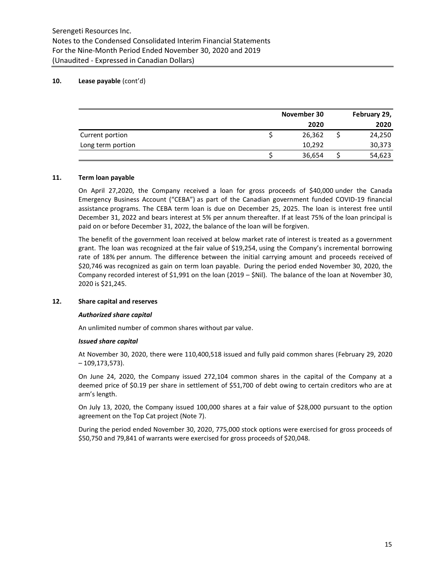# **10. Lease payable** (cont'd)

|                   | November 30 | February 29, |
|-------------------|-------------|--------------|
|                   | 2020        | 2020         |
| Current portion   | 26,362      | 24,250       |
| Long term portion | 10,292      | 30,373       |
|                   | 36,654      | 54,623       |

## **11. Term loan payable**

On April 27,2020, the Company received a loan for gross proceeds of \$40,000 under the Canada Emergency Business Account ("CEBA") as part of the Canadian government funded COVID-19 financial assistance programs. The CEBA term loan is due on December 25, 2025. The loan is interest free until December 31, 2022 and bears interest at 5% per annum thereafter. If at least 75% of the loan principal is paid on or before December 31, 2022, the balance of the loan will be forgiven.

The benefit of the government loan received at below market rate of interest is treated as a government grant. The loan was recognized at the fair value of \$19,254, using the Company's incremental borrowing rate of 18% per annum. The difference between the initial carrying amount and proceeds received of \$20,746 was recognized as gain on term loan payable. During the period ended November 30, 2020, the Company recorded interest of \$1,991 on the loan (2019 – \$Nil). The balance of the loan at November 30, 2020 is \$21,245.

## **12. Share capital and reserves**

#### *Authorized share capital*

An unlimited number of common shares without par value.

#### *Issued share capital*

At November 30, 2020, there were 110,400,518 issued and fully paid common shares (February 29, 2020  $-109, 173, 573$ ).

On June 24, 2020, the Company issued 272,104 common shares in the capital of the Company at a deemed price of \$0.19 per share in settlement of \$51,700 of debt owing to certain creditors who are at arm's length.

On July 13, 2020, the Company issued 100,000 shares at a fair value of \$28,000 pursuant to the option agreement on the Top Cat project (Note 7).

During the period ended November 30, 2020, 775,000 stock options were exercised for gross proceeds of \$50,750 and 79,841 of warrants were exercised for gross proceeds of \$20,048.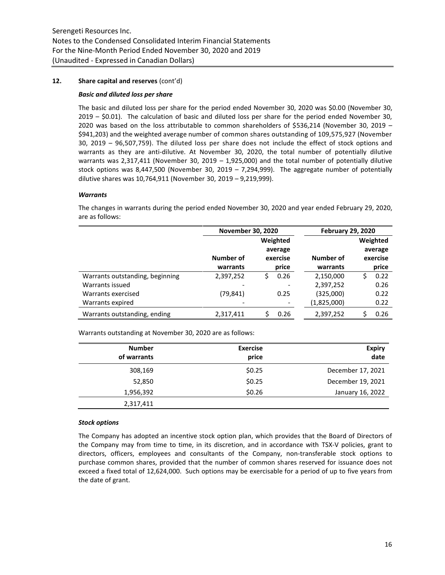## **12. Share capital and reserves** (cont'd)

#### *Basic and diluted loss per share*

The basic and diluted loss per share for the period ended November 30, 2020 was \$0.00 (November 30, 2019 – \$0.01). The calculation of basic and diluted loss per share for the period ended November 30, 2020 was based on the loss attributable to common shareholders of \$536,214 (November 30, 2019 – \$941,203) and the weighted average number of common shares outstanding of 109,575,927 (November 30, 2019 – 96,507,759). The diluted loss per share does not include the effect of stock options and warrants as they are anti-dilutive. At November 30, 2020, the total number of potentially dilutive warrants was 2,317,411 (November 30, 2019 – 1,925,000) and the total number of potentially dilutive stock options was 8,447,500 (November 30, 2019 – 7,294,999). The aggregate number of potentially dilutive shares was 10,764,911 (November 30, 2019 – 9,219,999).

## *Warrants*

The changes in warrants during the period ended November 30, 2020 and year ended February 29, 2020, are as follows:

|                                 | <b>November 30, 2020</b> |   |          | <b>February 29, 2020</b> |    |          |
|---------------------------------|--------------------------|---|----------|--------------------------|----|----------|
|                                 |                          |   | Weighted |                          |    | Weighted |
|                                 |                          |   | average  |                          |    | average  |
|                                 | Number of                |   | exercise | Number of                |    | exercise |
|                                 | warrants                 |   | price    | warrants                 |    | price    |
| Warrants outstanding, beginning | 2,397,252                | Ś | 0.26     | 2,150,000                | Ś. | 0.22     |
| Warrants issued                 |                          |   |          | 2,397,252                |    | 0.26     |
| Warrants exercised              | (79,841)                 |   | 0.25     | (325,000)                |    | 0.22     |
| Warrants expired                |                          |   |          | (1,825,000)              |    | 0.22     |
| Warrants outstanding, ending    | 2,317,411                |   | 0.26     | 2,397,252                |    | 0.26     |

Warrants outstanding at November 30, 2020 are as follows:

| <b>Number</b><br>of warrants | <b>Exercise</b><br>price | <b>Expiry</b><br>date |
|------------------------------|--------------------------|-----------------------|
| 308,169                      | \$0.25                   | December 17, 2021     |
| 52,850                       | \$0.25                   | December 19, 2021     |
| 1,956,392                    | \$0.26                   | January 16, 2022      |
| 2,317,411                    |                          |                       |

#### *Stock options*

The Company has adopted an incentive stock option plan, which provides that the Board of Directors of the Company may from time to time, in its discretion, and in accordance with TSX-V policies, grant to directors, officers, employees and consultants of the Company, non-transferable stock options to purchase common shares, provided that the number of common shares reserved for issuance does not exceed a fixed total of 12,624,000. Such options may be exercisable for a period of up to five years from the date of grant.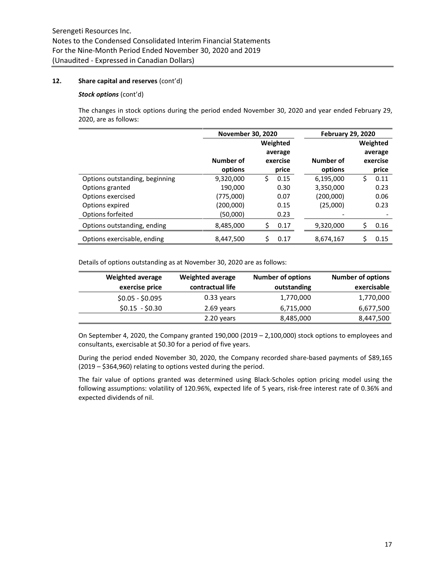## **12. Share capital and reserves** (cont'd)

## *Stock options* (cont'd)

The changes in stock options during the period ended November 30, 2020 and year ended February 29, 2020, are as follows:

|                                | <b>November 30, 2020</b> |          |          | <b>February 29, 2020</b> |     |          |  |
|--------------------------------|--------------------------|----------|----------|--------------------------|-----|----------|--|
|                                |                          | Weighted |          |                          |     | Weighted |  |
|                                |                          |          | average  |                          |     | average  |  |
|                                | Number of                |          | exercise | Number of                |     | exercise |  |
|                                | options                  |          | price    | options                  |     | price    |  |
| Options outstanding, beginning | 9,320,000                | Ś.       | 0.15     | 6,195,000                | \$. | 0.11     |  |
| Options granted                | 190,000                  |          | 0.30     | 3,350,000                |     | 0.23     |  |
| Options exercised              | (775,000)                |          | 0.07     | (200,000)                |     | 0.06     |  |
| Options expired                | (200,000)                |          | 0.15     | (25,000)                 |     | 0.23     |  |
| Options forfeited              | (50,000)                 |          | 0.23     |                          |     |          |  |
| Options outstanding, ending    | 8,485,000                | \$       | 0.17     | 9,320,000                | Ś   | 0.16     |  |
| Options exercisable, ending    | 8,447,500                | Ś        | 0.17     | 8,674,167                | \$  | 0.15     |  |

Details of options outstanding as at November 30, 2020 are as follows:

| <b>Weighted average</b> | <b>Weighted average</b> | <b>Number of options</b> | <b>Number of options</b> |
|-------------------------|-------------------------|--------------------------|--------------------------|
| exercise price          | contractual life        | outstanding              | exercisable              |
| $$0.05 - $0.095$        | $0.33$ years            | 1,770,000                | 1,770,000                |
| $$0.15 - $0.30$         | 2.69 years              | 6,715,000                | 6,677,500                |
|                         | 2.20 years              | 8,485,000                | 8,447,500                |

On September 4, 2020, the Company granted 190,000 (2019 – 2,100,000) stock options to employees and consultants, exercisable at \$0.30 for a period of five years.

During the period ended November 30, 2020, the Company recorded share-based payments of \$89,165 (2019 – \$364,960) relating to options vested during the period.

The fair value of options granted was determined using Black-Scholes option pricing model using the following assumptions: volatility of 120.96%, expected life of 5 years, risk-free interest rate of 0.36% and expected dividends of nil.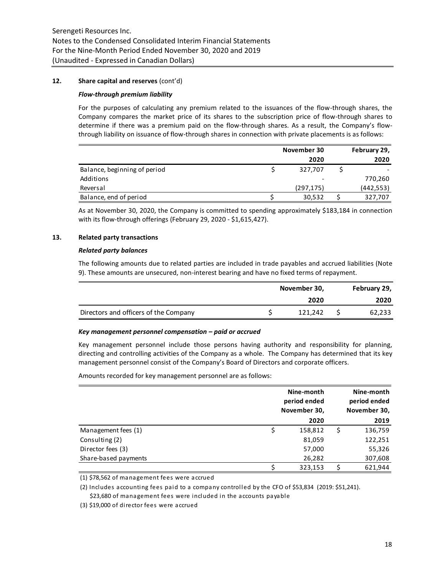## **12. Share capital and reserves** (cont'd)

#### *Flow-through premium liability*

For the purposes of calculating any premium related to the issuances of the flow-through shares, the Company compares the market price of its shares to the subscription price of flow-through shares to determine if there was a premium paid on the flow-through shares. As a result, the Company's flowthrough liability on issuance of flow-through shares in connection with private placements is as follows:

|                              | November 30 | February 29, |
|------------------------------|-------------|--------------|
|                              | 2020        | 2020         |
| Balance, beginning of period | 327,707     |              |
| Additions                    |             | 770,260      |
| Reversal                     | (297, 175)  | (442, 553)   |
| Balance, end of period       | 30,532      | 327,707      |

As at November 30, 2020, the Company is committed to spending approximately \$183,184 in connection with its flow-through offerings (February 29, 2020 - \$1,615,427).

# **13. Related party transactions**

#### *Related party balances*

The following amounts due to related parties are included in trade payables and accrued liabilities (Note 9). These amounts are unsecured, non-interest bearing and have no fixed terms of repayment.

|                                       | November 30, |         |  | February 29, |
|---------------------------------------|--------------|---------|--|--------------|
|                                       |              | 2020    |  | 2020         |
| Directors and officers of the Company |              | 121.242 |  | 62,233       |

#### *Key management personnel compensation – paid or accrued*

Key management personnel include those persons having authority and responsibility for planning, directing and controlling activities of the Company as a whole. The Company has determined that its key management personnel consist of the Company's Board of Directors and corporate officers.

Amounts recorded for key management personnel are as follows:

|                      | Nine-month<br>period ended<br>November 30, | Nine-month<br>period ended<br>November 30, |
|----------------------|--------------------------------------------|--------------------------------------------|
|                      | 2020                                       | 2019                                       |
| Management fees (1)  | \$<br>158,812                              | \$<br>136,759                              |
| Consulting (2)       | 81,059                                     | 122,251                                    |
| Director fees (3)    | 57,000                                     | 55,326                                     |
| Share-based payments | 26,282                                     | 307,608                                    |
|                      | 323,153                                    | 621,944                                    |

(1) \$78,562 of management fees were accrued

(2) Includes accounting fees paid to a company controlled by the CFO of \$53,834 (2019: \$51,241). \$23,680 of management fees were included in the accounts payable

(3) \$19,000 of director fees were accrued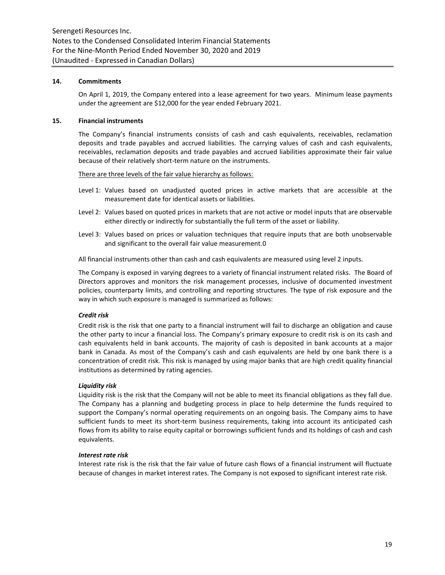## **14. Commitments**

On April 1, 2019, the Company entered into a lease agreement for two years. Minimum lease payments under the agreement are \$12,000 for the year ended February 2021.

## **15. Financial instruments**

The Company's financial instruments consists of cash and cash equivalents, receivables, reclamation deposits and trade payables and accrued liabilities. The carrying values of cash and cash equivalents, receivables, reclamation deposits and trade payables and accrued liabilities approximate their fair value because of their relatively short-term nature on the instruments.

#### There are three levels of the fair value hierarchy as follows:

- Level 1: Values based on unadjusted quoted prices in active markets that are accessible at the measurement date for identical assets or liabilities.
- Level 2: Values based on quoted prices in markets that are not active or model inputs that are observable either directly or indirectly for substantially the full term of the asset or liability.
- Level 3: Values based on prices or valuation techniques that require inputs that are both unobservable and significant to the overall fair value measurement.0

All financial instruments other than cash and cash equivalents are measured using level 2 inputs.

The Company is exposed in varying degrees to a variety of financial instrument related risks. The Board of Directors approves and monitors the risk management processes, inclusive of documented investment policies, counterparty limits, and controlling and reporting structures. The type of risk exposure and the way in which such exposure is managed is summarized as follows:

# *Credit risk*

Credit risk is the risk that one party to a financial instrument will fail to discharge an obligation and cause the other party to incur a financial loss. The Company's primary exposure to credit risk is on its cash and cash equivalents held in bank accounts. The majority of cash is deposited in bank accounts at a major bank in Canada. As most of the Company's cash and cash equivalents are held by one bank there is a concentration of credit risk. This risk is managed by using major banks that are high credit quality financial institutions as determined by rating agencies.

# *Liquidity risk*

Liquidity risk is the risk that the Company will not be able to meet its financial obligations as they fall due. The Company has a planning and budgeting process in place to help determine the funds required to support the Company's normal operating requirements on an ongoing basis. The Company aims to have sufficient funds to meet its short-term business requirements, taking into account its anticipated cash flows from its ability to raise equity capital or borrowings sufficient funds and its holdings of cash and cash equivalents.

## *Interest rate risk*

Interest rate risk is the risk that the fair value of future cash flows of a financial instrument will fluctuate because of changes in market interest rates. The Company is not exposed to significant interest rate risk.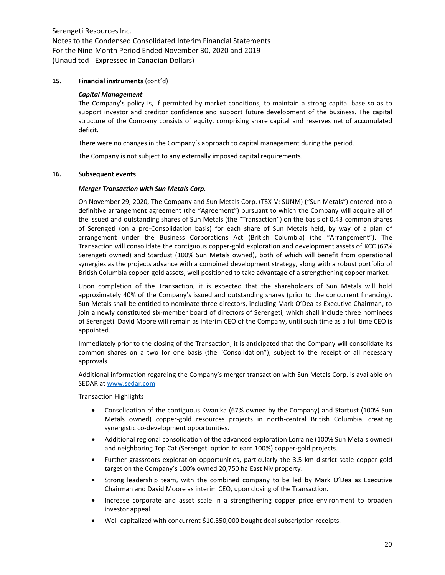# **15. Financial instruments** (cont'd)

#### *Capital Management*

The Company's policy is, if permitted by market conditions, to maintain a strong capital base so as to support investor and creditor confidence and support future development of the business. The capital structure of the Company consists of equity, comprising share capital and reserves net of accumulated deficit.

There were no changes in the Company's approach to capital management during the period.

The Company is not subject to any externally imposed capital requirements.

## **16. Subsequent events**

## *Merger Transaction with Sun Metals Corp.*

On November 29, 2020, The Company and Sun Metals Corp. (TSX-V: SUNM) ("Sun Metals") entered into a definitive arrangement agreement (the "Agreement") pursuant to which the Company will acquire all of the issued and outstanding shares of Sun Metals (the "Transaction") on the basis of 0.43 common shares of Serengeti (on a pre-Consolidation basis) for each share of Sun Metals held, by way of a plan of arrangement under the Business Corporations Act (British Columbia) (the "Arrangement"). The Transaction will consolidate the contiguous copper-gold exploration and development assets of KCC (67% Serengeti owned) and Stardust (100% Sun Metals owned), both of which will benefit from operational synergies as the projects advance with a combined development strategy, along with a robust portfolio of British Columbia copper-gold assets, well positioned to take advantage of a strengthening copper market.

Upon completion of the Transaction, it is expected that the shareholders of Sun Metals will hold approximately 40% of the Company's issued and outstanding shares (prior to the concurrent financing). Sun Metals shall be entitled to nominate three directors, including Mark O'Dea as Executive Chairman, to join a newly constituted six-member board of directors of Serengeti, which shall include three nominees of Serengeti. David Moore will remain as Interim CEO of the Company, until such time as a full time CEO is appointed.

Immediately prior to the closing of the Transaction, it is anticipated that the Company will consolidate its common shares on a two for one basis (the "Consolidation"), subject to the receipt of all necessary approvals.

Additional information regarding the Company's merger transaction with Sun Metals Corp. is available on SEDAR a[t www.sedar.com](http://www.sedar.com/)

## Transaction Highlights

- Consolidation of the contiguous Kwanika (67% owned by the Company) and Startust (100% Sun Metals owned) copper-gold resources projects in north-central British Columbia, creating synergistic co-development opportunities.
- Additional regional consolidation of the advanced exploration Lorraine (100% Sun Metals owned) and neighboring Top Cat (Serengeti option to earn 100%) copper-gold projects.
- Further grassroots exploration opportunities, particularly the 3.5 km district-scale copper-gold target on the Company's 100% owned 20,750 ha East Niv property.
- Strong leadership team, with the combined company to be led by Mark O'Dea as Executive Chairman and David Moore as interim CEO, upon closing of the Transaction.
- Increase corporate and asset scale in a strengthening copper price environment to broaden investor appeal.
- Well-capitalized with concurrent \$10,350,000 bought deal subscription receipts.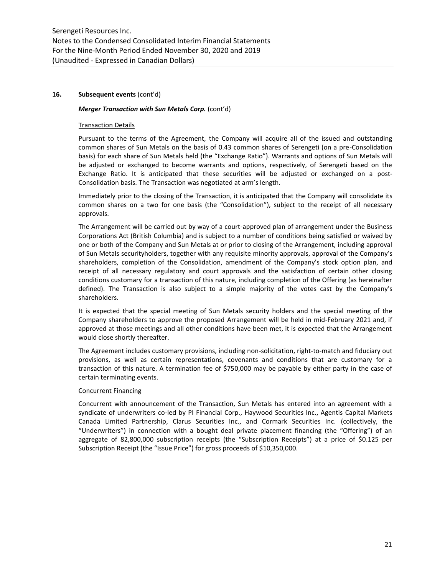## **16. Subsequent events** (cont'd)

## *Merger Transaction with Sun Metals Corp.* (cont'd)

## Transaction Details

Pursuant to the terms of the Agreement, the Company will acquire all of the issued and outstanding common shares of Sun Metals on the basis of 0.43 common shares of Serengeti (on a pre-Consolidation basis) for each share of Sun Metals held (the "Exchange Ratio"). Warrants and options of Sun Metals will be adjusted or exchanged to become warrants and options, respectively, of Serengeti based on the Exchange Ratio. It is anticipated that these securities will be adjusted or exchanged on a post-Consolidation basis. The Transaction was negotiated at arm's length.

Immediately prior to the closing of the Transaction, it is anticipated that the Company will consolidate its common shares on a two for one basis (the "Consolidation"), subject to the receipt of all necessary approvals.

The Arrangement will be carried out by way of a court-approved plan of arrangement under the Business Corporations Act (British Columbia) and is subject to a number of conditions being satisfied or waived by one or both of the Company and Sun Metals at or prior to closing of the Arrangement, including approval of Sun Metals securityholders, together with any requisite minority approvals, approval of the Company's shareholders, completion of the Consolidation, amendment of the Company's stock option plan, and receipt of all necessary regulatory and court approvals and the satisfaction of certain other closing conditions customary for a transaction of this nature, including completion of the Offering (as hereinafter defined). The Transaction is also subject to a simple majority of the votes cast by the Company's shareholders.

It is expected that the special meeting of Sun Metals security holders and the special meeting of the Company shareholders to approve the proposed Arrangement will be held in mid-February 2021 and, if approved at those meetings and all other conditions have been met, it is expected that the Arrangement would close shortly thereafter.

The Agreement includes customary provisions, including non-solicitation, right-to-match and fiduciary out provisions, as well as certain representations, covenants and conditions that are customary for a transaction of this nature. A termination fee of \$750,000 may be payable by either party in the case of certain terminating events.

# Concurrent Financing

Concurrent with announcement of the Transaction, Sun Metals has entered into an agreement with a syndicate of underwriters co-led by PI Financial Corp., Haywood Securities Inc., Agentis Capital Markets Canada Limited Partnership, Clarus Securities Inc., and Cormark Securities Inc. (collectively, the "Underwriters") in connection with a bought deal private placement financing (the "Offering") of an aggregate of 82,800,000 subscription receipts (the "Subscription Receipts") at a price of \$0.125 per Subscription Receipt (the "Issue Price") for gross proceeds of \$10,350,000.